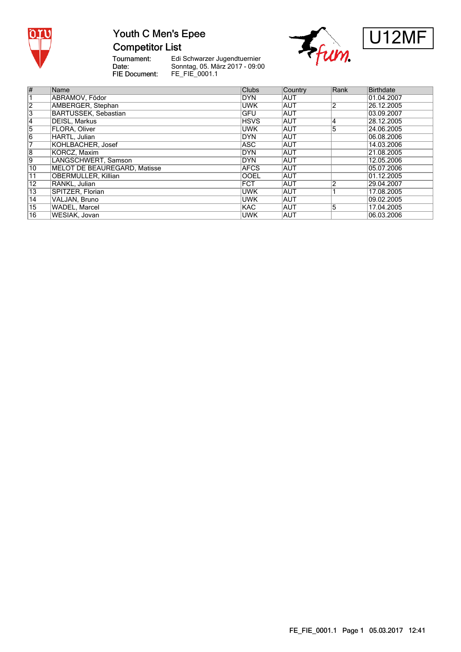

### Youth C Men's Epee **Competitor List**

Tournament:<br>Date: FIE Document:





| $\overline{\#}$         | Name                         | <b>Clubs</b> | <b>Country</b> | Rank           | <b>Birthdate</b> |
|-------------------------|------------------------------|--------------|----------------|----------------|------------------|
|                         | ABRAMOV. Födor               | DYN.         | <b>AUT</b>     |                | 01.04.2007       |
| $\overline{\mathbf{2}}$ | AMBERGER, Stephan            | <b>UWK</b>   | <b>AUT</b>     | $\overline{2}$ | 26.12.2005       |
| 3                       | <b>BARTUSSEK, Sebastian</b>  | <b>GFU</b>   | <b>AUT</b>     |                | 03.09.2007       |
| 4                       | DEISL, Markus                | <b>HSVS</b>  | <b>AUT</b>     | 14             | 28.12.2005       |
| $\overline{5}$          | FLORA, Oliver                | <b>UWK</b>   | <b>AUT</b>     | 5              | 24.06.2005       |
| $\overline{6}$          | HARTL, Julian                | DYN          | <b>AUT</b>     |                | 06.08.2006       |
|                         | KOHLBACHER, Josef            | <b>ASC</b>   | <b>AUT</b>     |                | 14.03.2006       |
| $\overline{8}$          | KORCZ, Maxim                 | <b>DYN</b>   | <b>AUT</b>     |                | 21.08.2005       |
| 9                       | LANGSCHWERT, Samson          | <b>DYN</b>   | <b>AUT</b>     |                | 12.05.2006       |
| 10                      | MELOT DE BEAUREGARD, Matisse | <b>AFCS</b>  | <b>AUT</b>     |                | 05.07.2006       |
| $11$                    | OBERMÜLLER, Killian          | <b>OOEL</b>  | <b>AUT</b>     |                | 01.12.2005       |
| $\overline{12}$         | RANKL, Julian                | <b>FCT</b>   | <b>AUT</b>     | $\overline{2}$ | 29.04.2007       |
| 13                      | SPITZER, Florian             | <b>UWK</b>   | <b>AUT</b>     |                | 17.08.2005       |
| $\overline{14}$         | VALJAN, Bruno                | <b>UWK</b>   | <b>AUT</b>     |                | 09.02.2005       |
| 15                      | WADEL, Marcel                | <b>KAC</b>   | <b>AUT</b>     | 5              | 17.04.2005       |
| $\overline{16}$         | WESIAK, Jovan                | <b>UWK</b>   | <b>AUT</b>     |                | 06.03.2006       |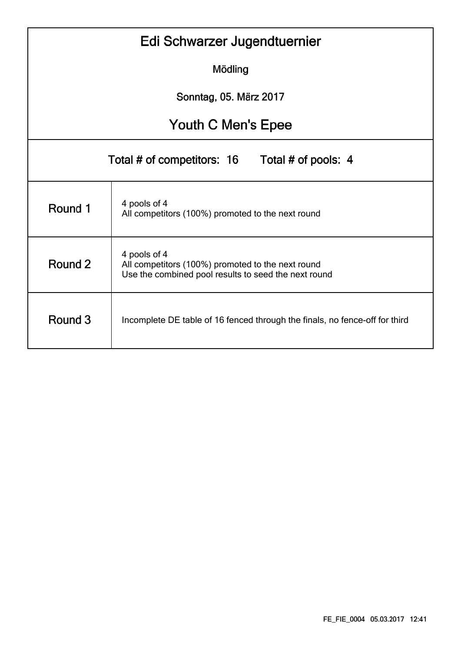| Edi Schwarzer Jugendtuernier |                                                                                                                           |  |  |  |  |  |  |  |  |  |  |  |
|------------------------------|---------------------------------------------------------------------------------------------------------------------------|--|--|--|--|--|--|--|--|--|--|--|
|                              | Mödling                                                                                                                   |  |  |  |  |  |  |  |  |  |  |  |
| Sonntag, 05. März 2017       |                                                                                                                           |  |  |  |  |  |  |  |  |  |  |  |
| Youth C Men's Epee           |                                                                                                                           |  |  |  |  |  |  |  |  |  |  |  |
|                              | Total # of competitors: 16<br>Total # of pools: 4                                                                         |  |  |  |  |  |  |  |  |  |  |  |
| Round 1                      | 4 pools of 4<br>All competitors (100%) promoted to the next round                                                         |  |  |  |  |  |  |  |  |  |  |  |
| Round 2                      | 4 pools of 4<br>All competitors (100%) promoted to the next round<br>Use the combined pool results to seed the next round |  |  |  |  |  |  |  |  |  |  |  |
| Round 3                      | Incomplete DE table of 16 fenced through the finals, no fence-off for third                                               |  |  |  |  |  |  |  |  |  |  |  |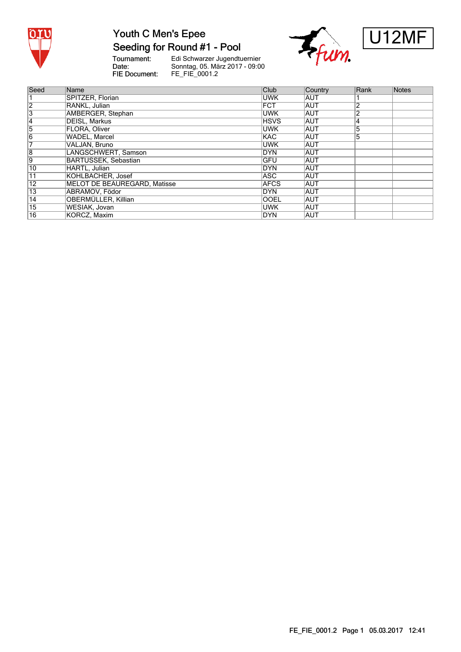

# Youth C Men's Epee

#### Seeding for Round #1 - Pool

Tournament:<br>Date: FIE Document:





| Seed            | Name                         | Club        | Country    | Rank           | Notes |
|-----------------|------------------------------|-------------|------------|----------------|-------|
|                 | SPITZER, Florian             | <b>UWK</b>  | <b>AUT</b> |                |       |
| $\overline{2}$  | RANKL, Julian                | <b>FCT</b>  | <b>AUT</b> | 2              |       |
| $\overline{3}$  | <b>AMBERGER, Stephan</b>     | <b>UWK</b>  | <b>AUT</b> | $\overline{2}$ |       |
| 14              | DEISL, Markus                | <b>HSVS</b> | <b>AUT</b> | 14             |       |
| 5               | FLORA, Oliver                | <b>UWK</b>  | <b>AUT</b> | 5              |       |
| $\overline{6}$  | <b>WADEL, Marcel</b>         | <b>KAC</b>  | <b>AUT</b> | 5              |       |
| 7               | VALJAN, Bruno                | <b>UWK</b>  | <b>AUT</b> |                |       |
| $\overline{8}$  | LANGSCHWERT, Samson          | <b>DYN</b>  | <b>AUT</b> |                |       |
| 9               | BARTUSSEK, Sebastian         | <b>GFU</b>  | <b>AUT</b> |                |       |
| 10              | HARTL, Julian                | DYN         | <b>AUT</b> |                |       |
| 11              | KOHLBACHER, Josef            | ASC.        | <b>AUT</b> |                |       |
| 12              | MELOT DE BEAUREGARD. Matisse | <b>AFCS</b> | <b>AUT</b> |                |       |
| $\overline{13}$ | ABRAMOV, Födor               | <b>DYN</b>  | <b>AUT</b> |                |       |
| 14              | <b>OBERMÜLLER, Killian</b>   | <b>OOEL</b> | <b>AUT</b> |                |       |
| $\overline{15}$ | WESIAK, Jovan                | <b>UWK</b>  | <b>AUT</b> |                |       |
| $\overline{16}$ | KORCZ, Maxim                 | DYN         | <b>AUT</b> |                |       |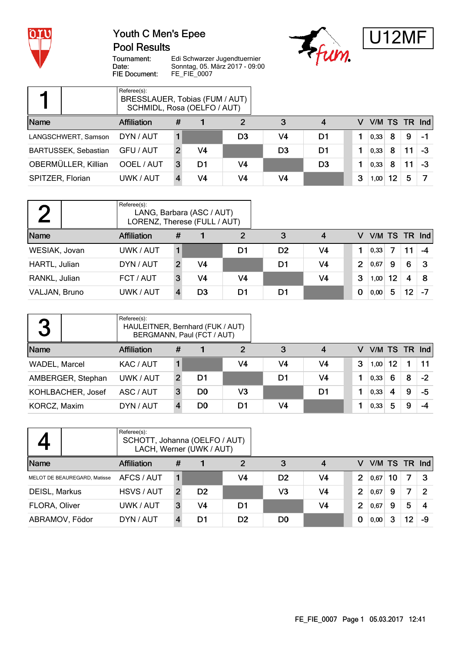

#### Youth C Men's Epee **Pool Results**





Tournament: Date: FIE Document:

|                  |                             | Referee(s):<br>BRESSLAUER, Tobias (FUM / AUT)<br>SCHMIDL, Rosa (OELFO / AUT) |   |    |                |                |                |   |      |    |    |                 |
|------------------|-----------------------------|------------------------------------------------------------------------------|---|----|----------------|----------------|----------------|---|------|----|----|-----------------|
| Name             |                             | <b>Affiliation</b>                                                           | # |    |                | 3              | 4              | v |      |    |    | V/M TS TR $Ind$ |
|                  | LANGSCHWERT, Samson         | DYN / AUT                                                                    |   |    | D <sub>3</sub> | V4             | D1             |   | 0,33 | 8  | 9  | -1              |
|                  | <b>BARTUSSEK, Sebastian</b> | GFU / AUT                                                                    |   | V4 |                | D <sub>3</sub> | D1             |   | 0,33 | 8  |    | -3              |
|                  | OBERMÜLLER, Killian         | OOEL / AUT                                                                   | 3 | D1 | V4             |                | D <sub>3</sub> |   | 0,33 | 8  | 11 | -3              |
| SPITZER, Florian |                             | UWK / AUT                                                                    |   | V4 | V4             | V4             |                | 3 | 1,00 | 12 | 5  |                 |

|               | Referee(s):<br>LORENZ, Therese (FULL / AUT) |                | LANG, Barbara (ASC / AUT) |    |                |                |   |      |    |    |                 |
|---------------|---------------------------------------------|----------------|---------------------------|----|----------------|----------------|---|------|----|----|-----------------|
| Name          | <b>Affiliation</b>                          | #              |                           | 2  | 3              | 4              | v |      |    |    | V/M TS TR $Ind$ |
| WESIAK, Jovan | UWK / AUT                                   |                |                           | D1 | D <sub>2</sub> | V4             |   | 0,33 |    | 11 | -4              |
| HARTL, Julian | DYN / AUT                                   | $\overline{2}$ | V4                        |    | D1             | V <sub>4</sub> | 2 | 0.67 | 9  | 6  | З               |
| RANKL, Julian | FCT / AUT                                   | 3              | V4                        | V4 |                | V <sub>4</sub> | 3 | 1,00 | 12 | 4  | 8               |
| VALJAN, Bruno | UWK / AUT                                   |                | D <sub>3</sub>            | D1 | D1             |                | 0 | 0,00 | 5  | 12 |                 |

| 3             |                   | Referee(s):<br>HAULEITNER, Bernhard (FUK / AUT) |   | BERGMANN, Paul (FCT / AUT) |    |    |    |   |               |    |   |      |
|---------------|-------------------|-------------------------------------------------|---|----------------------------|----|----|----|---|---------------|----|---|------|
| Name          |                   | <b>Affiliation</b>                              | # |                            | 2  | 3  | 4  | v | V/M TS TR Ind |    |   |      |
| WADEL, Marcel |                   | KAC / AUT                                       |   |                            | V4 | V4 | V4 | 3 | 1,00          | 12 |   | 11   |
|               | AMBERGER, Stephan | UWK / AUT                                       |   | D1                         |    | D1 | V4 |   | 0,33          | 6  | 8 | $-2$ |
|               | KOHLBACHER, Josef | ASC / AUT                                       | 3 | D0                         | V3 |    | D1 |   | 0,33          | 4  | 9 | -5   |
| KORCZ, Maxim  |                   | DYN / AUT                                       |   | D0                         | D1 | V4 |    |   | 0,33          | 5  | 9 | -4   |

|                |                              | Referee(s):<br>SCHOTT, Johanna (OELFO / AUT) |                | LACH, Werner (UWK / AUT) |                |                |                |                |      |    |    |               |
|----------------|------------------------------|----------------------------------------------|----------------|--------------------------|----------------|----------------|----------------|----------------|------|----|----|---------------|
| Name           |                              | <b>Affiliation</b>                           | #              |                          | $\overline{2}$ | 3              | 4              | v              |      |    |    | V/M TS TR Ind |
|                | MELOT DE BEAUREGARD, Matisse | AFCS / AUT                                   |                |                          | V <sub>4</sub> | D <sub>2</sub> | V <sub>4</sub> | $\overline{2}$ | 0,67 | 10 | 7  | 3             |
| DEISL, Markus  |                              | HSVS / AUT                                   | $\overline{2}$ | D <sub>2</sub>           |                | V3             | V <sub>4</sub> | $\overline{2}$ | 0,67 | 9  | 7  | 2             |
| FLORA, Oliver  |                              | UWK / AUT                                    | 3              | V4                       | D1             |                | V <sub>4</sub> | $\overline{2}$ | 0,67 | 9  | 5  |               |
| ABRAMOV, Födor |                              | DYN / AUT                                    |                | D1                       | D <sub>2</sub> | D <sub>0</sub> |                | 0              | 0,00 | 3  | 12 | -9            |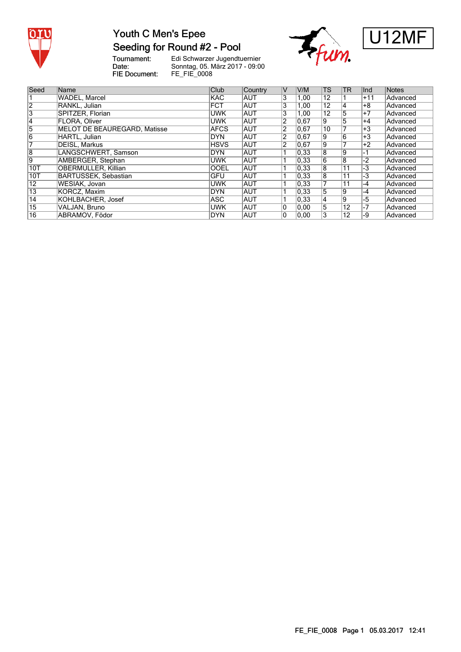

#### Youth C Men's Epee Seeding for Round #2 - Pool

Tournament:<br>Date: FIE Document:





| Seed            | Name                         | Club        | Country    | IV             | V/M            | <b>TS</b>      | TR              | lInd            | Notes           |
|-----------------|------------------------------|-------------|------------|----------------|----------------|----------------|-----------------|-----------------|-----------------|
|                 | WADEL, Marcel                | <b>KAC</b>  | <b>AUT</b> | 3              | 1,00           | 12             |                 | +11             | Advanced        |
| 2               | RANKL, Julian                | <b>FCT</b>  | <b>AUT</b> | 3              | 1,00           | 12             | 14              | +8              | Advanced        |
| $\overline{3}$  | SPITZER, Florian             | <b>UWK</b>  | <b>AUT</b> | 3              | 1,00           | 12             | 5               | $+7$            | Advanced        |
| 14              | <b>FLORA. Oliver</b>         | <b>UWK</b>  | <b>AUT</b> | $\overline{2}$ | 0,67           | 9              | 5               | +4              | Advanced        |
| 5               | MELOT DE BEAUREGARD, Matisse | <b>AFCS</b> | <b>AUT</b> | $\overline{2}$ | 0.67           | 10             |                 | $+3$            | Advanced        |
| $\overline{6}$  | HARTL, Julian                | <b>DYN</b>  | <b>AUT</b> | 2              | 0,67           | Ι9             | 6               | +3              | Advanced        |
|                 | DEISL, Markus                | <b>HSVS</b> | <b>AUT</b> | 2              | 0,67           | 19             |                 | $+2$            | Advanced        |
| 8               | LANGSCHWERT, Samson          | <b>DYN</b>  | <b>AUT</b> |                | 0,33           | $\overline{8}$ | g               | -1              | Advanced        |
| 9               | AMBERGER, Stephan            | <b>UWK</b>  | <b>AUT</b> |                | 0,33           | $\overline{6}$ | $\overline{8}$  | $\overline{-2}$ | Advanced        |
| 10T             | OBERMÜLLER, Killian          | <b>OOEL</b> | <b>AUT</b> |                | 0,33           | 8              | $\overline{11}$ | -3              | Advanced        |
| 10T             | <b>BARTUSSEK, Sebastian</b>  | GFU         | <b>AUT</b> |                | $ 0.33\rangle$ | 8              | 11              | -3              | Advanced        |
| $\overline{12}$ | WESIAK, Jovan                | <b>UWK</b>  | IAUT       |                | 0,33           |                | 11              | $ -4$           | Advanced        |
| $\overline{13}$ | KORCZ, Maxim                 | <b>DYN</b>  | <b>AUT</b> |                | 0,33           | 5              | 19              | $-4$            | Advanced        |
| 14              | KOHLBACHER, Josef            | ASC         | <b>AUT</b> |                | 0.33           | 14             | g               | $-5$            | Advanced        |
| $\overline{15}$ | VALJAN, Bruno                | <b>UWK</b>  | <b>AUT</b> | 10             | 0.00           | 5              | $\overline{12}$ | -7              | Advanced        |
| $\overline{16}$ | ABRAMOV. Födor               | <b>DYN</b>  | <b>AUT</b> | 0              | 0.00           |                | 12              | -9              | <b>Advanced</b> |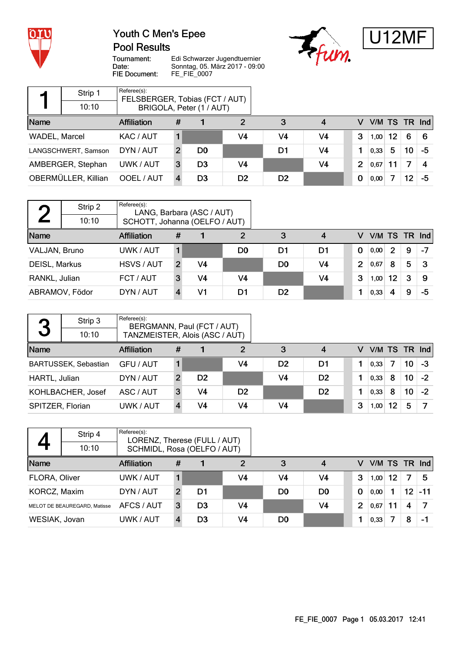

#### Youth C Men's Epee **Pool Results**





Tournament: Date: FIE Document:

Edi Schwarzer Jugendtuernier Sonntag, 05. März 2017 - 09:00 FE\_FIE\_0007

|               | Strip 1             | Referee(s):<br>FELSBERGER, Tobias (FCT / AUT) |               |                          |                |                |                |   |               |    |                 |    |
|---------------|---------------------|-----------------------------------------------|---------------|--------------------------|----------------|----------------|----------------|---|---------------|----|-----------------|----|
|               | 10:10               |                                               |               | BRIGOLA, Peter (1 / AUT) |                |                |                |   |               |    |                 |    |
| Name          |                     | <b>Affiliation</b>                            | #             |                          | 2              | 3              | 4              | v | V/M TS TR Ind |    |                 |    |
| WADEL, Marcel |                     | KAC / AUT                                     |               |                          | V4             | V4             | V <sub>4</sub> | 3 | 1,00          | 12 | 6               | 6  |
|               | LANGSCHWERT, Samson | DYN / AUT                                     | $\mathcal{P}$ | D0                       |                | D1             | V <sub>4</sub> |   | 0,33          | 5  | 10              | -5 |
|               | AMBERGER, Stephan   | UWK / AUT                                     | 3             | D <sub>3</sub>           | V4             |                | V <sub>4</sub> | 2 | 0.67          | 11 | 7               |    |
|               | OBERMÜLLER, Killian | OOEL / AUT                                    |               | D <sub>3</sub>           | D <sub>2</sub> | D <sub>2</sub> |                | 0 | 0,00          |    | 12 <sup>°</sup> | -5 |

|               | Strip 2<br>10:10 | Referee(s):<br>SCHOTT, Johanna (OELFO / AUT) |               | LANG, Barbara (ASC / AUT) |    |                |                |                |      |    |   |                 |
|---------------|------------------|----------------------------------------------|---------------|---------------------------|----|----------------|----------------|----------------|------|----|---|-----------------|
| Name          |                  | <b>Affiliation</b>                           | #             |                           | 2  | 3              | 4              | v              |      |    |   | $V/M$ TS TR Ind |
| VALJAN, Bruno |                  | UWK / AUT                                    |               |                           | D0 | D1             | D1             | $\Omega$       | 0,00 | 2  | 9 | $-7$            |
| DEISL, Markus |                  | HSVS / AUT                                   | $\mathcal{P}$ | V <sub>4</sub>            |    | D <sub>0</sub> | V <sub>4</sub> | $\overline{2}$ | 0,67 | 8  | 5 | З               |
| RANKL, Julian |                  | FCT / AUT                                    | 3             | V4                        | V4 |                | V <sub>4</sub> | 3              | 1,00 | 12 | 3 | 9               |
|               | ABRAMOV, Födor   | DYN / AUT                                    |               | V1                        | D1 | D <sub>2</sub> |                |                | 0,33 | 4  | 9 | -5              |

| 3                | Strip 3<br>10:10            | Referee(s):        | BERGMANN, Paul (FCT / AUT)<br>TANZMEISTER, Alois (ASC / AUT) |                |                |                |                |   |               |    |                 |      |
|------------------|-----------------------------|--------------------|--------------------------------------------------------------|----------------|----------------|----------------|----------------|---|---------------|----|-----------------|------|
| Name             |                             | <b>Affiliation</b> | #                                                            |                | 2              | 3              | 4              | v | V/M TS TR Ind |    |                 |      |
|                  |                             |                    |                                                              |                |                |                |                |   |               |    |                 |      |
|                  | <b>BARTUSSEK, Sebastian</b> | GFU / AUT          |                                                              |                | V4             | D <sub>2</sub> | D1             |   | 0.33          | 7  | 10              | -3   |
| HARTL, Julian    |                             | DYN / AUT          | 2                                                            | D <sub>2</sub> |                | V <sub>4</sub> | D <sub>2</sub> |   | 0,33          | 8  | 10 <sub>1</sub> | $-2$ |
|                  | KOHLBACHER, Josef           | ASC / AUT          | 3                                                            | V4             | D <sub>2</sub> |                | D <sub>2</sub> |   | 0,33          | 8  | 10 <sup>°</sup> | $-2$ |
| SPITZER, Florian |                             | UWK / AUT          |                                                              | V4             | V4             | V4             |                | 3 | 1,00          | 12 | 5               |      |

|               | Strip 4                      | Referee(s):<br>LORENZ, Therese (FULL / AUT) |   |                |    |                |                |          |      |    |                 |               |
|---------------|------------------------------|---------------------------------------------|---|----------------|----|----------------|----------------|----------|------|----|-----------------|---------------|
|               | 10:10                        | SCHMIDL, Rosa (OELFO / AUT)                 |   |                |    |                |                |          |      |    |                 |               |
| Name          |                              | <b>Affiliation</b>                          | # |                | 2  | 3              | 4              | v        |      |    |                 | V/M TS TR Ind |
| FLORA, Oliver |                              | UWK / AUT                                   |   |                | V4 | V4             | V4             | 3        | 1,00 | 12 | 7               | 5             |
| KORCZ, Maxim  |                              | DYN / AUT                                   | 2 | D1             |    | D <sub>0</sub> | D0             | $\bf{0}$ | 0,00 |    | 12 <sup>°</sup> | $-11$         |
|               | MELOT DE BEAUREGARD. Matisse | AFCS / AUT                                  | 3 | D <sub>3</sub> | V4 |                | V <sub>4</sub> | 2        | 0,67 |    | 4               |               |
| WESIAK, Jovan |                              | UWK / AUT                                   |   | D <sub>3</sub> | V4 | D <sub>0</sub> |                |          | 0,33 |    | 8               | -1            |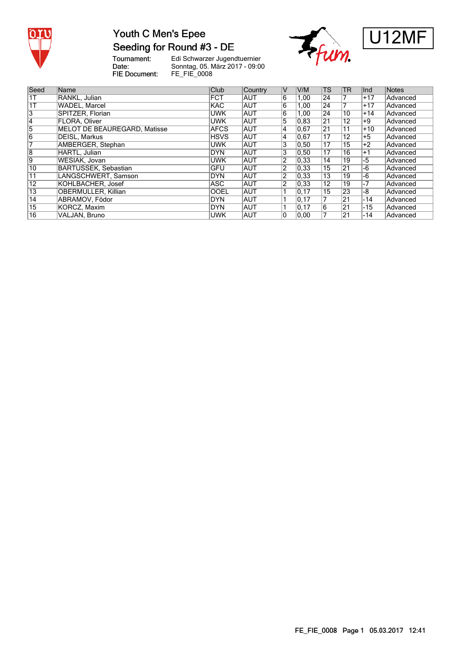

### Youth C Men's Epee Seeding for Round #3 - DE

Tournament:<br>Date: FIE Document:





| Seed            | <b>Name</b>                  | <b>Club</b> | Country    | IV             | V/M  | TS              | TR              | lInd  | Notes    |
|-----------------|------------------------------|-------------|------------|----------------|------|-----------------|-----------------|-------|----------|
| 1T              | RANKL, Julian                | <b>FCT</b>  | <b>AUT</b> | 6              | 1,00 | 24              |                 | $+17$ | Advanced |
| 1T              | <b>WADEL, Marcel</b>         | <b>KAC</b>  | <b>AUT</b> | 6              | 1,00 | $\overline{24}$ |                 | $+17$ | Advanced |
| 3               | SPITZER, Florian             | <b>UWK</b>  | <b>AUT</b> | 6              | 1,00 | 24              | 10              | $+14$ | Advanced |
| 14              | <b>FLORA. Oliver</b>         | <b>UWK</b>  | <b>AUT</b> | 5              | 0.83 | $\overline{21}$ | 12              | +9    | Advanced |
| 5               | MELOT DE BEAUREGARD, Matisse | <b>AFCS</b> | <b>AUT</b> | 14             | 0,67 | $\overline{21}$ | 11              | $+10$ | Advanced |
| 6               | <b>DEISL, Markus</b>         | <b>HSVS</b> | <b>AUT</b> | 14             | 0,67 | 17              | 12              | $+5$  | Advanced |
|                 | AMBERGER, Stephan            | <b>UWK</b>  | <b>AUT</b> | 3              | 0,50 | $\overline{17}$ | 15              | $+2$  | Advanced |
| 8               | HARTL, Julian                | <b>DYN</b>  | <b>AUT</b> | 3              | 0,50 | $\overline{17}$ | 16              | $+1$  | Advanced |
| 9               | WESIAK, Jovan                | <b>UWK</b>  | <b>AUT</b> | $\overline{2}$ | 0,33 | 14              | 19              | -5    | Advanced |
| 10              | <b>BARTUSSEK, Sebastian</b>  | <b>IGFU</b> | <b>AUT</b> | $\overline{2}$ | 0,33 | $\overline{15}$ | $\overline{21}$ | -6    | Advanced |
| $11$            | LANGSCHWERT, Samson          | DYN         | <b>AUT</b> | $\overline{2}$ | 0,33 | 13              | 19              | -6    | Advanced |
| $\overline{12}$ | KOHLBACHER, Josef            | <b>ASC</b>  | ∣AUT       | $\overline{2}$ | 0,33 | 12              | 19              | -7    | Advanced |
| $\overline{13}$ | <b>OBERMÜLLER, Killian</b>   | <b>OOEL</b> | <b>AUT</b> |                | 0,17 | 15              | 23              | -8    | Advanced |
| 14              | ABRAMOV. Födor               | <b>DYN</b>  | <b>AUT</b> |                | 0,17 |                 | $\overline{21}$ | $-14$ | Advanced |
| $\overline{15}$ | KORCZ, Maxim                 | DYN         | <b>AUT</b> |                | 0,17 | 16              | 21              | $-15$ | Advanced |
| $\overline{16}$ | VALJAN. Bruno                | <b>UWK</b>  | <b>AUT</b> | 0              | 0.00 |                 | $\overline{21}$ | $-14$ | Advanced |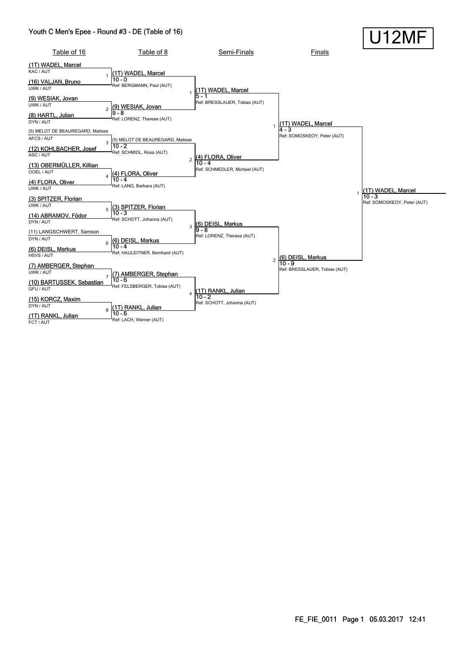#### Youth C Men's Epee - Round #3 - DE (Table of 16)

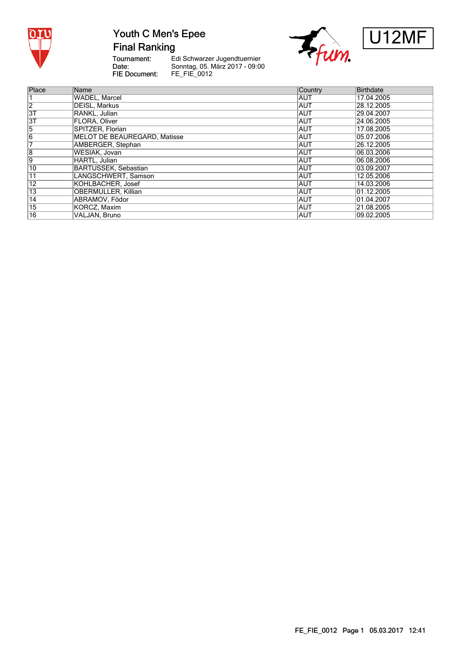

## Youth C Men's Epee

**Final Ranking** 

Tournament:<br>Date: FIE Document:





| Place | Name                         | Country    | <b>Birthdate</b> |
|-------|------------------------------|------------|------------------|
|       | <b>WADEL, Marcel</b>         | AUT        | 17.04.2005       |
| 2     | DEISL, Markus                | <b>AUT</b> | 28.12.2005       |
| 3T    | RANKL, Julian                | <b>AUT</b> | 29.04.2007       |
| 3T    | <b>FLORA. Oliver</b>         | <b>AUT</b> | 24.06.2005       |
| 5     | SPITZER, Florian             | <b>AUT</b> | 17.08.2005       |
| 6     | MELOT DE BEAUREGARD, Matisse | <b>AUT</b> | 05.07.2006       |
|       | AMBERGER, Stephan            | <b>AUT</b> | 26.12.2005       |
| 8     | WESIAK, Jovan                | <b>AUT</b> | 06.03.2006       |
| 9     | HARTL, Julian                | <b>AUT</b> | 06.08.2006       |
| 10    | <b>BARTUSSEK, Sebastian</b>  | <b>AUT</b> | 03.09.2007       |
| 11    | LANGSCHWERT, Samson          | <b>AUT</b> | 12.05.2006       |
| 12    | KOHLBACHER, Josef            | <b>AUT</b> | 14.03.2006       |
| 13    | OBERMÜLLER, Killian          | <b>AUT</b> | 01.12.2005       |
| 14    | ABRAMOV, Födor               | <b>AUT</b> | 01.04.2007       |
| 15    | KORCZ, Maxim                 | <b>AUT</b> | 21.08.2005       |
| 16    | VALJAN, Bruno                | <b>AUT</b> | 09.02.2005       |